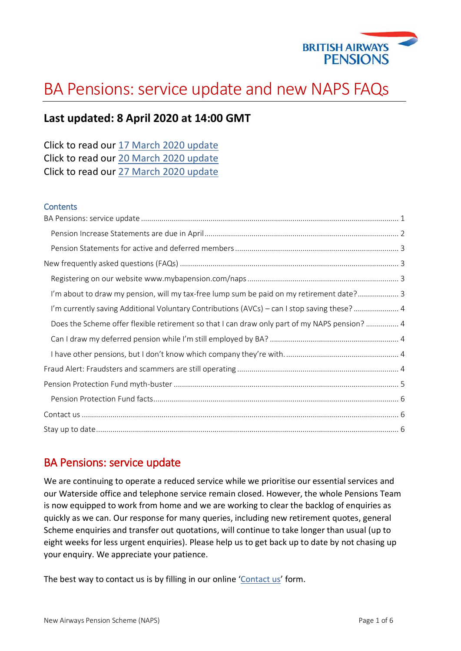

# BA Pensions: service update and new NAPS FAQs

### **Last updated: 8 April 2020 at 14:00 GMT**

| Click to read our 17 March 2020 update |  |  |
|----------------------------------------|--|--|
| Click to read our 20 March 2020 update |  |  |
| Click to read our 27 March 2020 update |  |  |

#### **Contents**

| I'm about to draw my pension, will my tax-free lump sum be paid on my retirement date? 3     |  |
|----------------------------------------------------------------------------------------------|--|
| I'm currently saving Additional Voluntary Contributions (AVCs) - can I stop saving these?  4 |  |
| Does the Scheme offer flexible retirement so that I can draw only part of my NAPS pension? 4 |  |
|                                                                                              |  |
|                                                                                              |  |
|                                                                                              |  |
|                                                                                              |  |
|                                                                                              |  |
|                                                                                              |  |
|                                                                                              |  |

### <span id="page-0-0"></span>BA Pensions: service update

We are continuing to operate a reduced service while we prioritise our essential services and our Waterside office and telephone service remain closed. However, the whole Pensions Team is now equipped to work from home and we are working to clear the backlog of enquiries as quickly as we can. Our response for many queries, including new retirement quotes, general Scheme enquiries and transfer out quotations, will continue to take longer than usual (up to eight weeks for less urgent enquiries). Please help us to get back up to date by not chasing up your enquiry. We appreciate your patience.

The best way to contact us is by filling in our online '[Contact us](https://www.mybapension.com/naps/contact-us)' form.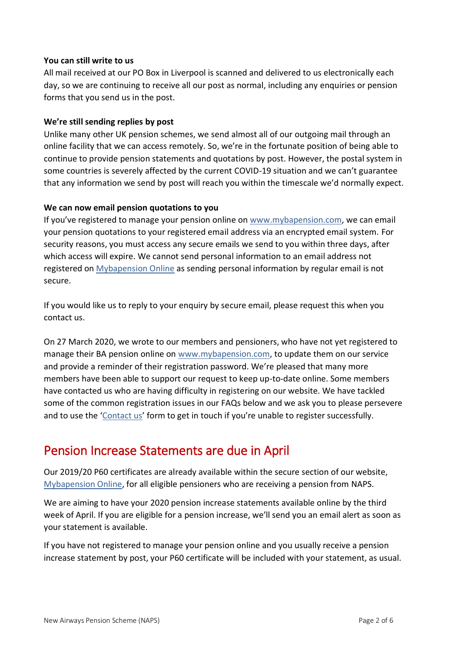#### **You can still write to us**

All mail received at our PO Box in Liverpool is scanned and delivered to us electronically each day, so we are continuing to receive all our post as normal, including any enquiries or pension forms that you send us in the post.

#### **We're still sending replies by post**

Unlike many other UK pension schemes, we send almost all of our outgoing mail through an online facility that we can access remotely. So, we're in the fortunate position of being able to continue to provide pension statements and quotations by post. However, the postal system in some countries is severely affected by the current COVID-19 situation and we can't guarantee that any information we send by post will reach you within the timescale we'd normally expect.

#### **We can now email pension quotations to you**

If you've registered to manage your pension online on [www.mybapension.com,](http://www.mybapension.com/) we can email your pension quotations to your registered email address via an encrypted email system. For security reasons, you must access any secure emails we send to you within three days, after which access will expire. We cannot send personal information to an email address not registered on [Mybapension Online](https://www.mybapension.com/users/sign_in) as sending personal information by regular email is not secure.

If you would like us to reply to your enquiry by secure email, please request this when you contact us.

On 27 March 2020, we wrote to our members and pensioners, who have not yet registered to manage their BA pension online on www.mybapension.com, to update them on our service and provide a reminder of their registration password. We're pleased that many more members have been able to support our request to keep up-to-date online. Some members have contacted us who are having difficulty in registering on our website. We have tackled some of the common registration issues in our FAQs below and we ask you to please persevere and to use the '[Contact us](https://www.mybapension.com/naps/contact-us)' form to get in touch if you're unable to register successfully.

### <span id="page-1-0"></span>Pension Increase Statements are due in April

Our 2019/20 P60 certificates are already available within the secure section of our website, [Mybapension Online,](https://www.mybapension.com/users/sign_in) for all eligible pensioners who are receiving a pension from NAPS.

We are aiming to have your 2020 pension increase statements available online by the third week of April. If you are eligible for a pension increase, we'll send you an email alert as soon as your statement is available.

If you have not registered to manage your pension online and you usually receive a pension increase statement by post, your P60 certificate will be included with your statement, as usual.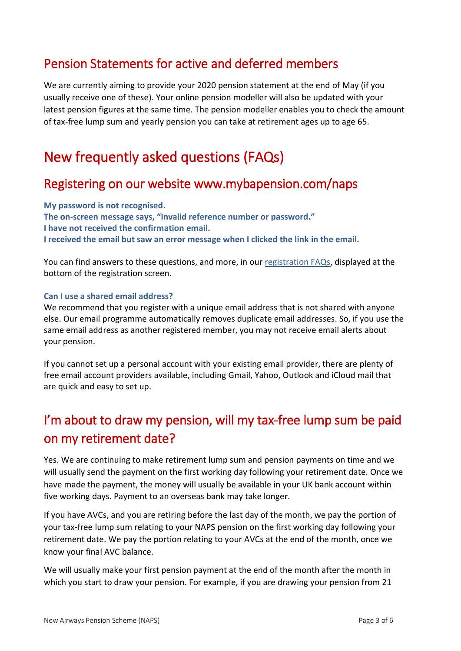### <span id="page-2-0"></span>Pension Statements for active and deferred members

We are currently aiming to provide your 2020 pension statement at the end of May (if you usually receive one of these). Your online pension modeller will also be updated with your latest pension figures at the same time. The pension modeller enables you to check the amount of tax-free lump sum and yearly pension you can take at retirement ages up to age 65.

### <span id="page-2-1"></span>New frequently asked questions (FAQs)

### <span id="page-2-2"></span>Registering on our website www.mybapension.com/naps

**My password is not recognised. The on-screen message says, "Invalid reference number or password." I have not received the confirmation email. I received the email but saw an error message when I clicked the link in the email.**

You can find answers to these questions, and more, in our [registration FAQs,](https://www.mybapension.com/users/sign_up#%20registration-faqs) displayed at the bottom of the registration screen.

#### **Can I use a shared email address?**

We recommend that you register with a unique email address that is not shared with anyone else. Our email programme automatically removes duplicate email addresses. So, if you use the same email address as another registered member, you may not receive email alerts about your pension.

If you cannot set up a personal account with your existing email provider, there are plenty of free email account providers available, including Gmail, Yahoo, Outlook and iCloud mail that are quick and easy to set up.

# <span id="page-2-3"></span>I'm about to draw my pension, will my tax-free lump sum be paid on my retirement date?

Yes. We are continuing to make retirement lump sum and pension payments on time and we will usually send the payment on the first working day following your retirement date. Once we have made the payment, the money will usually be available in your UK bank account within five working days. Payment to an overseas bank may take longer.

If you have AVCs, and you are retiring before the last day of the month, we pay the portion of your tax-free lump sum relating to your NAPS pension on the first working day following your retirement date. We pay the portion relating to your AVCs at the end of the month, once we know your final AVC balance.

We will usually make your first pension payment at the end of the month after the month in which you start to draw your pension. For example, if you are drawing your pension from 21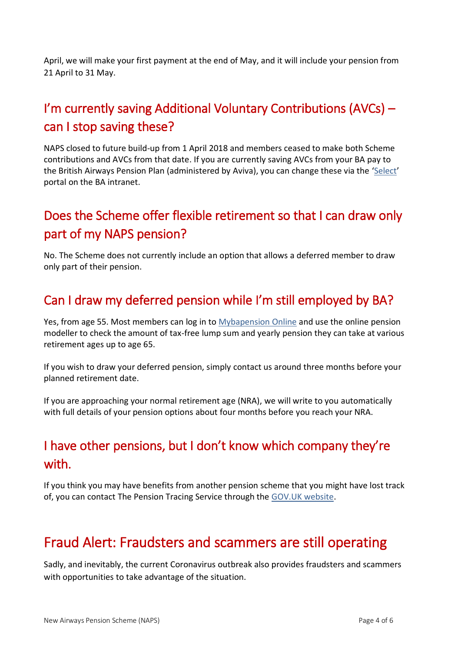April, we will make your first payment at the end of May, and it will include your pension from 21 April to 31 May.

## <span id="page-3-0"></span>I'm currently saving Additional Voluntary Contributions (AVCs) – can I stop saving these?

NAPS closed to future build-up from 1 April 2018 and members ceased to make both Scheme contributions and AVCs from that date. If you are currently saving AVCs from your BA pay to the British Airways Pension Plan (administered by Aviva), you can change these via the '[Select](https://my.baplc.com/autosso/login.jsp)' portal on the BA intranet.

## <span id="page-3-1"></span>Does the Scheme offer flexible retirement so that I can draw only part of my NAPS pension?

No. The Scheme does not currently include an option that allows a deferred member to draw only part of their pension.

### <span id="page-3-2"></span>Can I draw my deferred pension while I'm still employed by BA?

Yes, from age 55. Most members can log in to [Mybapension Online](https://www.mybapension.com/users/sign_in) and use the online pension modeller to check the amount of tax-free lump sum and yearly pension they can take at various retirement ages up to age 65.

If you wish to draw your deferred pension, simply contact us around three months before your planned retirement date.

If you are approaching your normal retirement age (NRA), we will write to you automatically with full details of your pension options about four months before you reach your NRA.

# <span id="page-3-3"></span>I have other pensions, but I don't know which company they're with.

If you think you may have benefits from another pension scheme that you might have lost track of, you can contact The Pension Tracing Service through the [GOV.UK website.](https://www.gov.uk/find-pension-contact-details)

# <span id="page-3-4"></span>Fraud Alert: Fraudsters and scammers are still operating

Sadly, and inevitably, the current Coronavirus outbreak also provides fraudsters and scammers with opportunities to take advantage of the situation.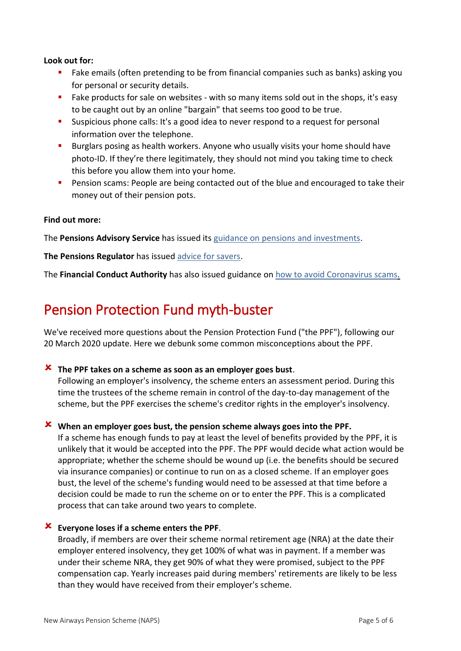#### **Look out for:**

- Fake emails (often pretending to be from financial companies such as banks) asking you for personal or security details.
- Fake products for sale on websites with so many items sold out in the shops, it's easy to be caught out by an online "bargain" that seems too good to be true.
- Suspicious phone calls: It's a good idea to never respond to a request for personal information over the telephone.
- Burglars posing as health workers. Anyone who usually visits your home should have photo-ID. If they're there legitimately, they should not mind you taking time to check this before you allow them into your home.
- **•** Pension scams: People are being contacted out of the blue and encouraged to take their money out of their pension pots.

#### **Find out more:**

The **Pensions Advisory Service** has issued its guidance on pensions and [investments.](https://www.pensionsadvisoryservice.org.uk/about-pensions/when-things-change/coronavirus-how-will-this-affect-my-pension-or-investments)

**The Pensions Regulator** has issued advice for [savers.](https://www.thepensionsregulator.gov.uk/en/media-hub/press-releases/2020-press-releases/covid-19-savers-stay-calm-and-dont-rush-financial-decisions)

<span id="page-4-0"></span>The **Financial Conduct Authority** has also issued guidance on how to avoid [Coronavirus](https://www.fca.org.uk/news/news-stories/avoid-coronavirus-scams) scams.

# Pension Protection Fund myth-buster

We've received more questions about the Pension Protection Fund ("the PPF"), following our 20 March 2020 update. Here we debunk some common misconceptions about the PPF.

#### **The PPF takes on a scheme as soon as an employer goes bust**.

Following an employer's insolvency, the scheme enters an assessment period. During this time the trustees of the scheme remain in control of the day-to-day management of the scheme, but the PPF exercises the scheme's creditor rights in the employer's insolvency.

#### **When an employer goes bust, the pension scheme always goes into the PPF.**

If a scheme has enough funds to pay at least the level of benefits provided by the PPF, it is unlikely that it would be accepted into the PPF. The PPF would decide what action would be appropriate; whether the scheme should be wound up (i.e. the benefits should be secured via insurance companies) or continue to run on as a closed scheme. If an employer goes bust, the level of the scheme's funding would need to be assessed at that time before a decision could be made to run the scheme on or to enter the PPF. This is a complicated process that can take around two years to complete.

#### **Everyone loses if a scheme enters the PPF**.

Broadly, if members are over their scheme normal retirement age (NRA) at the date their employer entered insolvency, they get 100% of what was in payment. If a member was under their scheme NRA, they get 90% of what they were promised, subject to the PPF compensation cap. Yearly increases paid during members' retirements are likely to be less than they would have received from their employer's scheme.